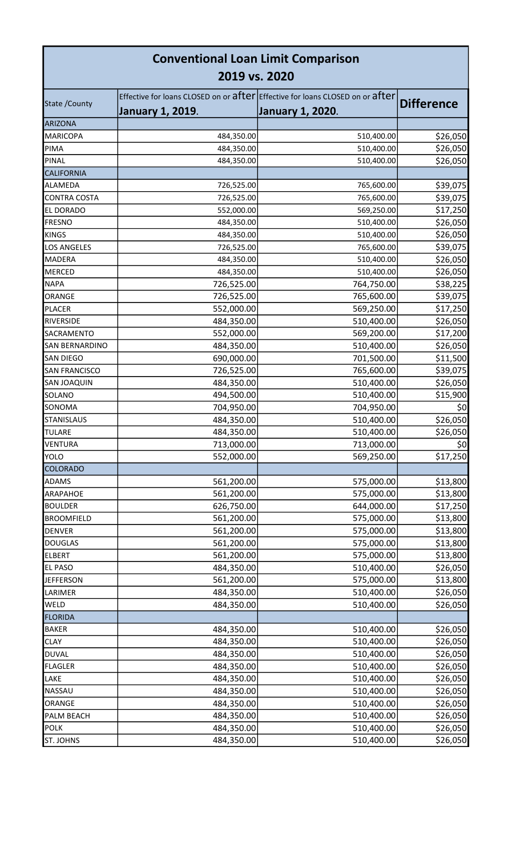| <b>Conventional Loan Limit Comparison</b><br>2019 vs. 2020 |                         |                                                                                                          |                   |  |  |
|------------------------------------------------------------|-------------------------|----------------------------------------------------------------------------------------------------------|-------------------|--|--|
| State / County                                             | <b>January 1, 2019.</b> | Effective for loans CLOSED on or after Effective for loans CLOSED on or after<br><b>January 1, 2020.</b> | <b>Difference</b> |  |  |
| <b>ARIZONA</b>                                             |                         |                                                                                                          |                   |  |  |
| <b>MARICOPA</b>                                            | 484,350.00              | 510,400.00                                                                                               | \$26,050          |  |  |
| PIMA                                                       | 484,350.00              | 510,400.00                                                                                               | \$26,050          |  |  |
| PINAL                                                      | 484,350.00              | 510,400.00                                                                                               | \$26,050          |  |  |
| <b>CALIFORNIA</b>                                          |                         |                                                                                                          |                   |  |  |
| ALAMEDA                                                    | 726,525.00              | 765,600.00                                                                                               | \$39,075          |  |  |
| <b>CONTRA COSTA</b>                                        | 726,525.00              | 765,600.00                                                                                               | \$39,075          |  |  |
| EL DORADO                                                  | 552,000.00              | 569,250.00                                                                                               | \$17,250          |  |  |
| <b>FRESNO</b>                                              | 484,350.00              | 510,400.00                                                                                               | \$26,050          |  |  |
| <b>KINGS</b>                                               | 484,350.00              | 510,400.00                                                                                               | \$26,050          |  |  |
| <b>LOS ANGELES</b>                                         | 726,525.00              | 765,600.00                                                                                               | \$39,075          |  |  |
| <b>MADERA</b>                                              | 484,350.00              | 510,400.00                                                                                               | \$26,050          |  |  |
| <b>MERCED</b>                                              | 484,350.00              | 510,400.00                                                                                               | \$26,050          |  |  |
| <b>NAPA</b>                                                | 726,525.00              | 764,750.00                                                                                               | \$38,225          |  |  |
| ORANGE                                                     | 726,525.00              | 765,600.00                                                                                               | \$39,075          |  |  |
| <b>PLACER</b>                                              | 552,000.00              | 569,250.00                                                                                               | \$17,250          |  |  |
| RIVERSIDE                                                  | 484,350.00              | 510,400.00                                                                                               | \$26,050          |  |  |
| SACRAMENTO                                                 | 552,000.00              | 569,200.00                                                                                               | \$17,200          |  |  |
| SAN BERNARDINO                                             | 484,350.00              | 510,400.00                                                                                               | \$26,050          |  |  |
| <b>SAN DIEGO</b>                                           | 690,000.00              | 701,500.00                                                                                               | \$11,500          |  |  |
| <b>SAN FRANCISCO</b>                                       | 726,525.00              | 765,600.00                                                                                               | \$39,075          |  |  |
| SAN JOAQUIN                                                | 484,350.00              | 510,400.00                                                                                               | \$26,050          |  |  |
| SOLANO                                                     | 494,500.00              | 510,400.00                                                                                               | \$15,900          |  |  |
| SONOMA                                                     | 704,950.00              | 704,950.00                                                                                               | \$0               |  |  |
| <b>STANISLAUS</b>                                          | 484,350.00              |                                                                                                          |                   |  |  |
| <b>TULARE</b>                                              |                         | 510,400.00                                                                                               | \$26,050          |  |  |
|                                                            | 484,350.00              | 510,400.00                                                                                               | \$26,050          |  |  |
| <b>VENTURA</b><br><b>YOLO</b>                              | 713,000.00              | 713,000.00                                                                                               | \$0               |  |  |
|                                                            | 552,000.00              | 569,250.00                                                                                               | \$17,250          |  |  |
| COLORADO                                                   |                         |                                                                                                          |                   |  |  |
| <b>ADAMS</b>                                               | 561,200.00              | 575,000.00                                                                                               | \$13,800          |  |  |
| ARAPAHOE                                                   | 561,200.00              | 575,000.00                                                                                               | \$13,800          |  |  |
| <b>BOULDER</b>                                             | 626,750.00              | 644,000.00                                                                                               | \$17,250          |  |  |
| <b>BROOMFIELD</b>                                          | 561,200.00              | 575,000.00                                                                                               | \$13,800          |  |  |
| <b>DENVER</b>                                              | 561,200.00              | 575,000.00                                                                                               | \$13,800          |  |  |
| <b>DOUGLAS</b>                                             | 561,200.00              | 575,000.00                                                                                               | \$13,800          |  |  |
| <b>ELBERT</b>                                              | 561,200.00              | 575,000.00                                                                                               | \$13,800          |  |  |
| <b>EL PASO</b>                                             | 484,350.00              | 510,400.00                                                                                               | \$26,050          |  |  |
| <b>JEFFERSON</b>                                           | 561,200.00              | 575,000.00                                                                                               | \$13,800          |  |  |
| LARIMER                                                    | 484,350.00              | 510,400.00                                                                                               | \$26,050          |  |  |
| WELD                                                       | 484,350.00              | 510,400.00                                                                                               | \$26,050          |  |  |
| <b>FLORIDA</b>                                             |                         |                                                                                                          |                   |  |  |
| <b>BAKER</b>                                               | 484,350.00              | 510,400.00                                                                                               | \$26,050          |  |  |
| <b>CLAY</b>                                                | 484,350.00              | 510,400.00                                                                                               | \$26,050          |  |  |
| <b>DUVAL</b>                                               | 484,350.00              | 510,400.00                                                                                               | \$26,050          |  |  |
| <b>FLAGLER</b>                                             | 484,350.00              | 510,400.00                                                                                               | \$26,050          |  |  |
| LAKE                                                       | 484,350.00              | 510,400.00                                                                                               | \$26,050          |  |  |
| NASSAU                                                     | 484,350.00              | 510,400.00                                                                                               | \$26,050          |  |  |
| ORANGE                                                     | 484,350.00              | 510,400.00                                                                                               | \$26,050          |  |  |
| PALM BEACH                                                 | 484,350.00              | 510,400.00                                                                                               | \$26,050          |  |  |
| <b>POLK</b>                                                | 484,350.00              | 510,400.00                                                                                               | \$26,050          |  |  |
| <b>ST. JOHNS</b>                                           | 484,350.00              | 510,400.00                                                                                               | \$26,050          |  |  |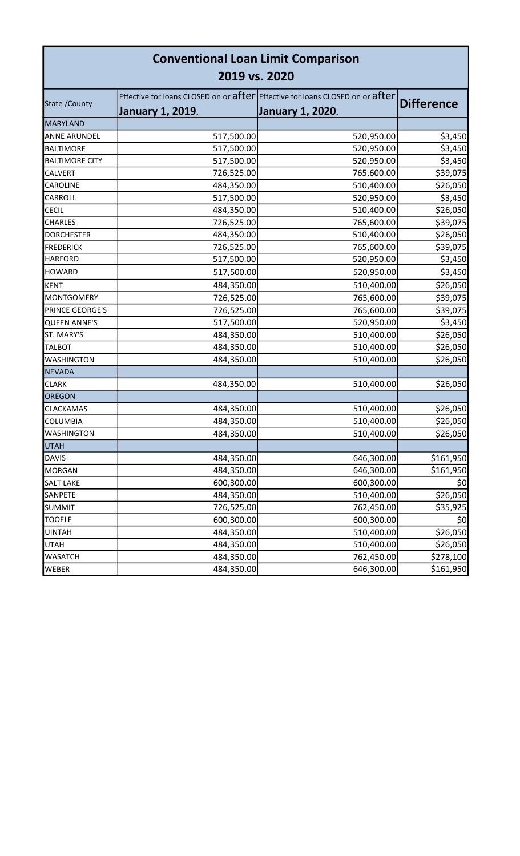| <b>Conventional Loan Limit Comparison</b><br>2019 vs. 2020 |                         |                                                                                                          |                   |  |  |
|------------------------------------------------------------|-------------------------|----------------------------------------------------------------------------------------------------------|-------------------|--|--|
| State / County                                             | <b>January 1, 2019.</b> | Effective for loans CLOSED on or after Effective for loans CLOSED on or after<br><b>January 1, 2020.</b> | <b>Difference</b> |  |  |
| <b>MARYLAND</b>                                            |                         |                                                                                                          |                   |  |  |
| <b>ANNE ARUNDEL</b>                                        | 517,500.00              | 520,950.00                                                                                               | \$3,450           |  |  |
| <b>BALTIMORE</b>                                           | 517,500.00              | 520,950.00                                                                                               | \$3,450           |  |  |
| <b>BALTIMORE CITY</b>                                      | 517,500.00              | 520,950.00                                                                                               | \$3,450           |  |  |
| <b>CALVERT</b>                                             | 726,525.00              | 765,600.00                                                                                               | \$39,075          |  |  |
| <b>CAROLINE</b>                                            | 484,350.00              | 510,400.00                                                                                               | \$26,050          |  |  |
| <b>CARROLL</b>                                             | 517,500.00              | 520,950.00                                                                                               | \$3,450           |  |  |
| <b>CECIL</b>                                               | 484,350.00              | 510,400.00                                                                                               | \$26,050          |  |  |
| <b>CHARLES</b>                                             | 726,525.00              | 765,600.00                                                                                               | \$39,075          |  |  |
| <b>DORCHESTER</b>                                          | 484,350.00              | 510,400.00                                                                                               | \$26,050          |  |  |
| <b>FREDERICK</b>                                           | 726,525.00              | 765,600.00                                                                                               | \$39,075          |  |  |
| <b>HARFORD</b>                                             | 517,500.00              | 520,950.00                                                                                               | \$3,450           |  |  |
| <b>HOWARD</b>                                              | 517,500.00              | 520,950.00                                                                                               | \$3,450           |  |  |
| <b>KENT</b>                                                | 484,350.00              | 510,400.00                                                                                               | \$26,050          |  |  |
| <b>MONTGOMERY</b>                                          | 726,525.00              | 765,600.00                                                                                               | \$39,075          |  |  |
| PRINCE GEORGE'S                                            | 726,525.00              | 765,600.00                                                                                               | \$39,075          |  |  |
| <b>QUEEN ANNE'S</b>                                        | 517,500.00              | 520,950.00                                                                                               | \$3,450           |  |  |
| ST. MARY'S                                                 | 484,350.00              | 510,400.00                                                                                               | \$26,050          |  |  |
| <b>TALBOT</b>                                              | 484,350.00              | 510,400.00                                                                                               | \$26,050          |  |  |
| <b>WASHINGTON</b>                                          | 484,350.00              | 510,400.00                                                                                               | \$26,050          |  |  |
| <b>NEVADA</b>                                              |                         |                                                                                                          |                   |  |  |
| <b>CLARK</b>                                               | 484,350.00              | 510,400.00                                                                                               | \$26,050          |  |  |
| OREGON                                                     |                         |                                                                                                          |                   |  |  |
| <b>CLACKAMAS</b>                                           | 484,350.00              | 510,400.00                                                                                               | \$26,050          |  |  |
| <b>COLUMBIA</b>                                            | 484,350.00              | 510,400.00                                                                                               | \$26,050          |  |  |
| <b>WASHINGTON</b>                                          | 484,350.00              | 510,400.00                                                                                               | \$26,050          |  |  |
| <b>UTAH</b>                                                |                         |                                                                                                          |                   |  |  |
| <b>DAVIS</b>                                               | 484,350.00              | 646,300.00                                                                                               | \$161,950         |  |  |
| <b>MORGAN</b>                                              | 484,350.00              | 646,300.00                                                                                               | \$161,950         |  |  |
| <b>SALT LAKE</b>                                           | 600,300.00              | 600,300.00                                                                                               | \$0               |  |  |
| SANPETE                                                    | 484,350.00              | 510,400.00                                                                                               | \$26,050          |  |  |
| <b>SUMMIT</b>                                              | 726,525.00              | 762,450.00                                                                                               | \$35,925          |  |  |
| <b>TOOELE</b>                                              | 600,300.00              | 600,300.00                                                                                               | \$0               |  |  |
| <b>UINTAH</b>                                              | 484,350.00              | 510,400.00                                                                                               | \$26,050          |  |  |
| <b>UTAH</b>                                                | 484,350.00              | 510,400.00                                                                                               | \$26,050          |  |  |
| <b>WASATCH</b>                                             | 484,350.00              | 762,450.00                                                                                               | \$278,100         |  |  |
| WEBER                                                      | 484,350.00              | 646,300.00                                                                                               | \$161,950         |  |  |